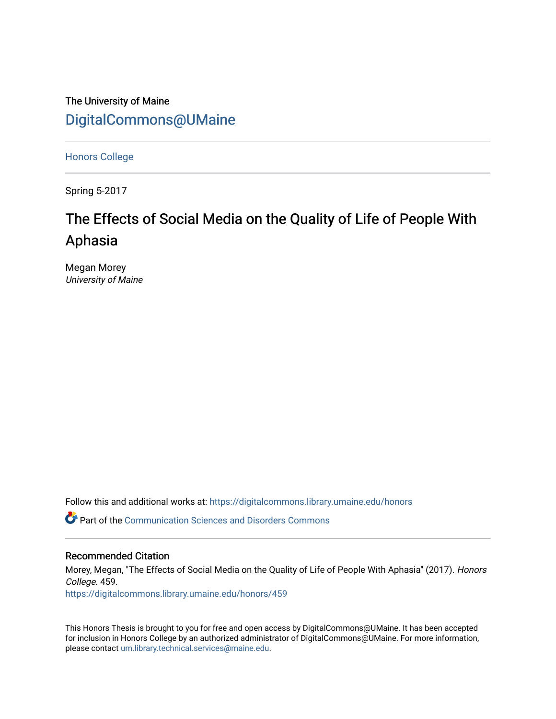The University of Maine [DigitalCommons@UMaine](https://digitalcommons.library.umaine.edu/)

[Honors College](https://digitalcommons.library.umaine.edu/honors)

Spring 5-2017

# The Effects of Social Media on the Quality of Life of People With Aphasia

Megan Morey University of Maine

Follow this and additional works at: [https://digitalcommons.library.umaine.edu/honors](https://digitalcommons.library.umaine.edu/honors?utm_source=digitalcommons.library.umaine.edu%2Fhonors%2F459&utm_medium=PDF&utm_campaign=PDFCoverPages) 

Part of the [Communication Sciences and Disorders Commons](http://network.bepress.com/hgg/discipline/1019?utm_source=digitalcommons.library.umaine.edu%2Fhonors%2F459&utm_medium=PDF&utm_campaign=PDFCoverPages)

## Recommended Citation

Morey, Megan, "The Effects of Social Media on the Quality of Life of People With Aphasia" (2017). Honors College. 459.

[https://digitalcommons.library.umaine.edu/honors/459](https://digitalcommons.library.umaine.edu/honors/459?utm_source=digitalcommons.library.umaine.edu%2Fhonors%2F459&utm_medium=PDF&utm_campaign=PDFCoverPages) 

This Honors Thesis is brought to you for free and open access by DigitalCommons@UMaine. It has been accepted for inclusion in Honors College by an authorized administrator of DigitalCommons@UMaine. For more information, please contact [um.library.technical.services@maine.edu.](mailto:um.library.technical.services@maine.edu)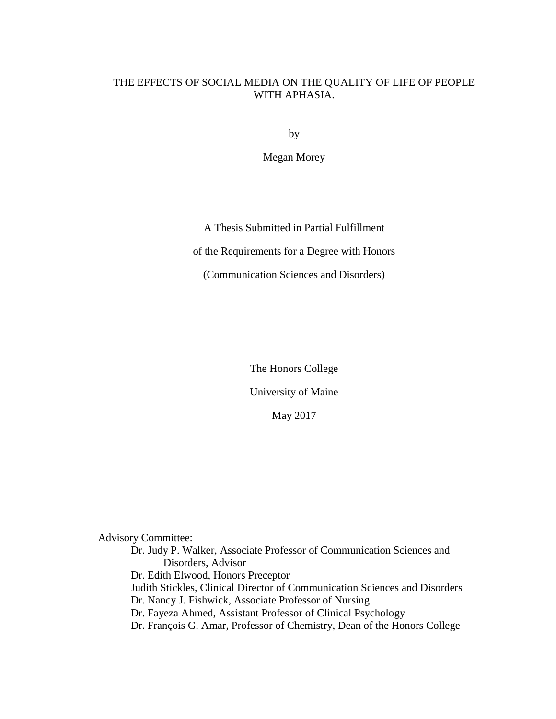# <span id="page-1-0"></span>THE EFFECTS OF SOCIAL MEDIA ON THE QUALITY OF LIFE OF PEOPLE WITH APHASIA.

by

Megan Morey

A Thesis Submitted in Partial Fulfillment

of the Requirements for a Degree with Honors

(Communication Sciences and Disorders)

The Honors College

University of Maine

May 2017

Advisory Committee:

Dr. Judy P. Walker, Associate Professor of Communication Sciences and Disorders, Advisor Dr. Edith Elwood, Honors Preceptor Judith Stickles, Clinical Director of Communication Sciences and Disorders Dr. Nancy J. Fishwick, Associate Professor of Nursing Dr. Fayeza Ahmed, Assistant Professor of Clinical Psychology Dr. François G. Amar, Professor of Chemistry, Dean of the Honors College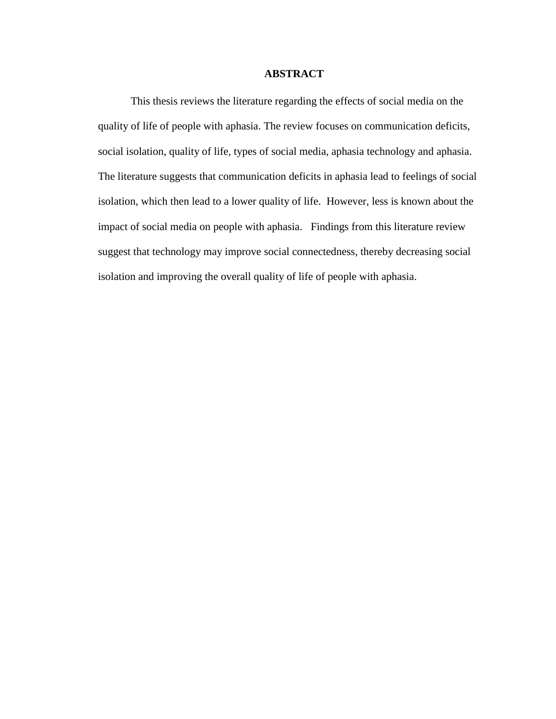#### **ABSTRACT**

<span id="page-2-0"></span>This thesis reviews the literature regarding the effects of social media on the quality of life of people with aphasia. The review focuses on communication deficits, social isolation, quality of life, types of social media, aphasia technology and aphasia. The literature suggests that communication deficits in aphasia lead to feelings of social isolation, which then lead to a lower quality of life. However, less is known about the impact of social media on people with aphasia. Findings from this literature review suggest that technology may improve social connectedness, thereby decreasing social isolation and improving the overall quality of life of people with aphasia.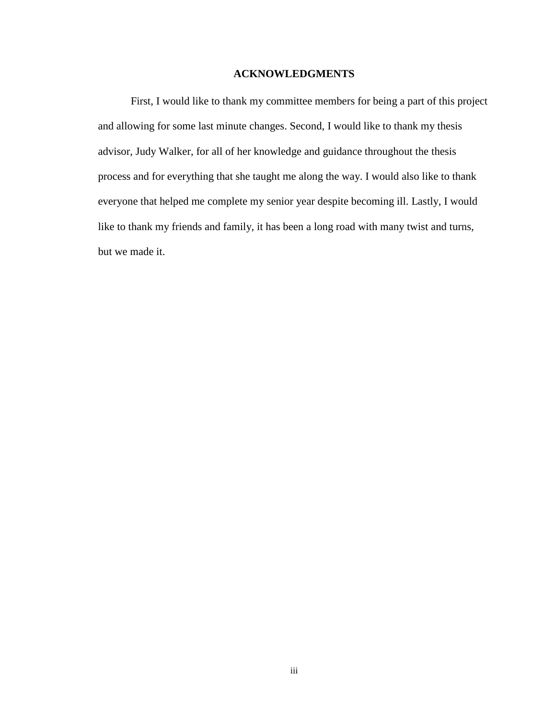# **ACKNOWLEDGMENTS**

<span id="page-3-0"></span>First, I would like to thank my committee members for being a part of this project and allowing for some last minute changes. Second, I would like to thank my thesis advisor, Judy Walker, for all of her knowledge and guidance throughout the thesis process and for everything that she taught me along the way. I would also like to thank everyone that helped me complete my senior year despite becoming ill. Lastly, I would like to thank my friends and family, it has been a long road with many twist and turns, but we made it.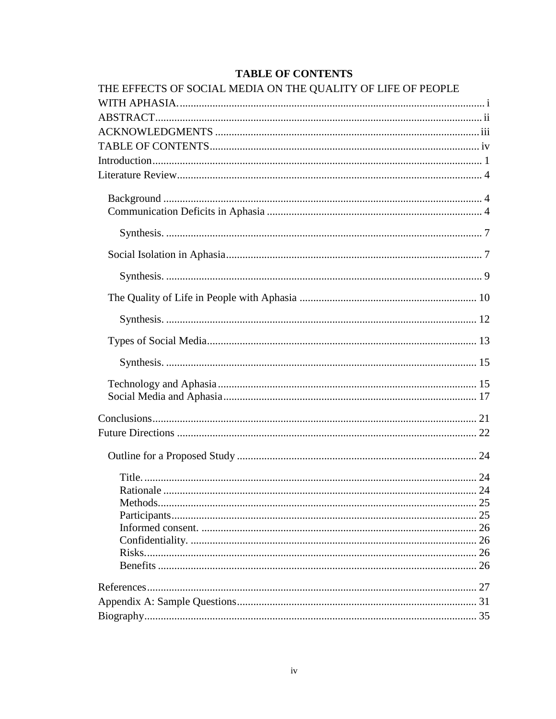# **TABLE OF CONTENTS**

<span id="page-4-0"></span>

| THE EFFECTS OF SOCIAL MEDIA ON THE QUALITY OF LIFE OF PEOPLE |  |
|--------------------------------------------------------------|--|
|                                                              |  |
|                                                              |  |
|                                                              |  |
|                                                              |  |
|                                                              |  |
|                                                              |  |
|                                                              |  |
|                                                              |  |
|                                                              |  |
|                                                              |  |
|                                                              |  |
|                                                              |  |
|                                                              |  |
|                                                              |  |
|                                                              |  |
|                                                              |  |
|                                                              |  |
|                                                              |  |
|                                                              |  |
|                                                              |  |
|                                                              |  |
|                                                              |  |
|                                                              |  |
|                                                              |  |
|                                                              |  |
|                                                              |  |
|                                                              |  |
|                                                              |  |
|                                                              |  |
|                                                              |  |
|                                                              |  |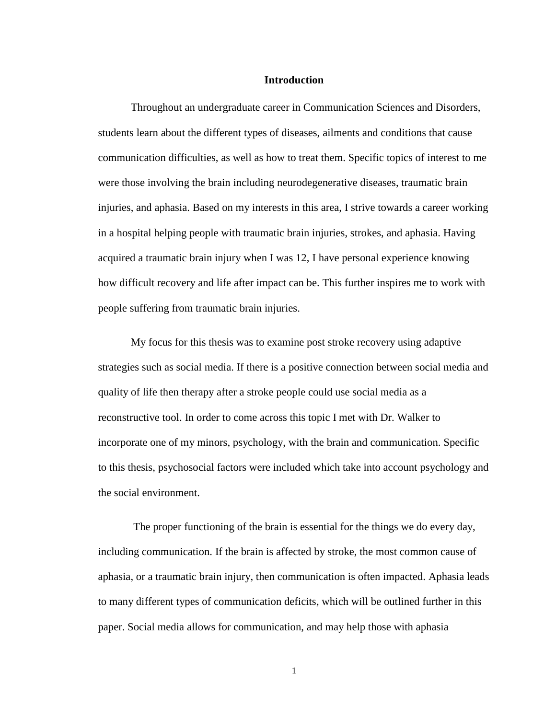# **Introduction**

<span id="page-5-0"></span>Throughout an undergraduate career in Communication Sciences and Disorders, students learn about the different types of diseases, ailments and conditions that cause communication difficulties, as well as how to treat them. Specific topics of interest to me were those involving the brain including neurodegenerative diseases, traumatic brain injuries, and aphasia. Based on my interests in this area, I strive towards a career working in a hospital helping people with traumatic brain injuries, strokes, and aphasia. Having acquired a traumatic brain injury when I was 12, I have personal experience knowing how difficult recovery and life after impact can be. This further inspires me to work with people suffering from traumatic brain injuries.

My focus for this thesis was to examine post stroke recovery using adaptive strategies such as social media. If there is a positive connection between social media and quality of life then therapy after a stroke people could use social media as a reconstructive tool. In order to come across this topic I met with Dr. Walker to incorporate one of my minors, psychology, with the brain and communication. Specific to this thesis, psychosocial factors were included which take into account psychology and the social environment.

The proper functioning of the brain is essential for the things we do every day, including communication. If the brain is affected by stroke, the most common cause of aphasia, or a traumatic brain injury, then communication is often impacted. Aphasia leads to many different types of communication deficits, which will be outlined further in this paper. Social media allows for communication, and may help those with aphasia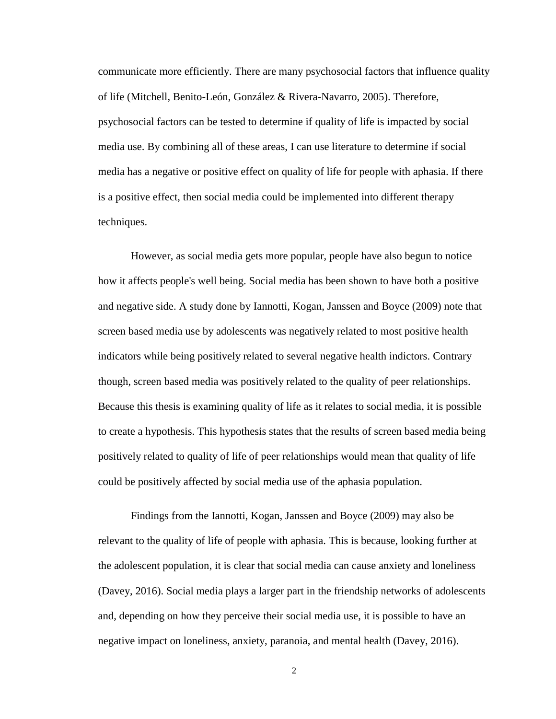communicate more efficiently. There are many psychosocial factors that influence quality of life (Mitchell, Benito-León, González & Rivera-Navarro, 2005). Therefore, psychosocial factors can be tested to determine if quality of life is impacted by social media use. By combining all of these areas, I can use literature to determine if social media has a negative or positive effect on quality of life for people with aphasia. If there is a positive effect, then social media could be implemented into different therapy techniques.

However, as social media gets more popular, people have also begun to notice how it affects people's well being. Social media has been shown to have both a positive and negative side. A study done by Iannotti, Kogan, Janssen and Boyce (2009) note that screen based media use by adolescents was negatively related to most positive health indicators while being positively related to several negative health indictors. Contrary though, screen based media was positively related to the quality of peer relationships. Because this thesis is examining quality of life as it relates to social media, it is possible to create a hypothesis. This hypothesis states that the results of screen based media being positively related to quality of life of peer relationships would mean that quality of life could be positively affected by social media use of the aphasia population.

Findings from the Iannotti, Kogan, Janssen and Boyce (2009) may also be relevant to the quality of life of people with aphasia. This is because, looking further at the adolescent population, it is clear that social media can cause anxiety and loneliness (Davey, 2016). Social media plays a larger part in the friendship networks of adolescents and, depending on how they perceive their social media use, it is possible to have an negative impact on loneliness, anxiety, paranoia, and mental health (Davey, 2016).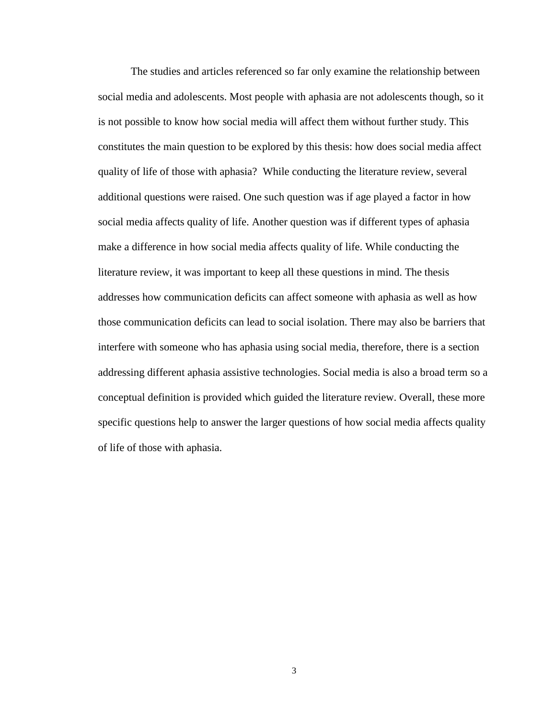The studies and articles referenced so far only examine the relationship between social media and adolescents. Most people with aphasia are not adolescents though, so it is not possible to know how social media will affect them without further study. This constitutes the main question to be explored by this thesis: how does social media affect quality of life of those with aphasia? While conducting the literature review, several additional questions were raised. One such question was if age played a factor in how social media affects quality of life. Another question was if different types of aphasia make a difference in how social media affects quality of life. While conducting the literature review, it was important to keep all these questions in mind. The thesis addresses how communication deficits can affect someone with aphasia as well as how those communication deficits can lead to social isolation. There may also be barriers that interfere with someone who has aphasia using social media, therefore, there is a section addressing different aphasia assistive technologies. Social media is also a broad term so a conceptual definition is provided which guided the literature review. Overall, these more specific questions help to answer the larger questions of how social media affects quality of life of those with aphasia.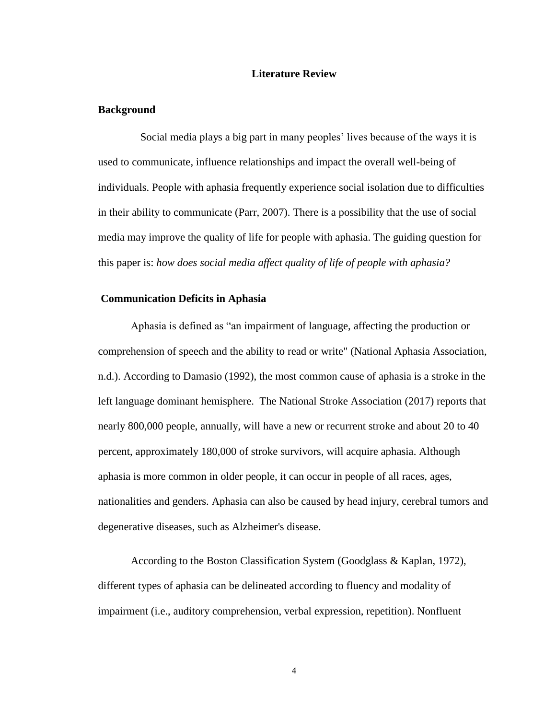## **Literature Review**

# <span id="page-8-1"></span><span id="page-8-0"></span>**Background**

Social media plays a big part in many peoples' lives because of the ways it is used to communicate, influence relationships and impact the overall well-being of individuals. People with aphasia frequently experience social isolation due to difficulties in their ability to communicate (Parr, 2007). There is a possibility that the use of social media may improve the quality of life for people with aphasia. The guiding question for this paper is: *how does social media affect quality of life of people with aphasia?*

# <span id="page-8-2"></span>**Communication Deficits in Aphasia**

Aphasia is defined as "an impairment of language, affecting the production or comprehension of speech and the ability to read or write" (National Aphasia Association, n.d.). According to Damasio (1992), the most common cause of aphasia is a stroke in the left language dominant hemisphere. The National Stroke Association (2017) reports that nearly 800,000 people, annually, will have a new or recurrent stroke and about 20 to 40 percent, approximately 180,000 of stroke survivors, will acquire aphasia. Although aphasia is more common in older people, it can occur in people of all races, ages, nationalities and genders. Aphasia can also be caused by head injury, cerebral tumors and degenerative diseases, such as Alzheimer's disease.

According to the Boston Classification System (Goodglass & Kaplan, 1972), different types of aphasia can be delineated according to fluency and modality of impairment (i.e., auditory comprehension, verbal expression, repetition). Nonfluent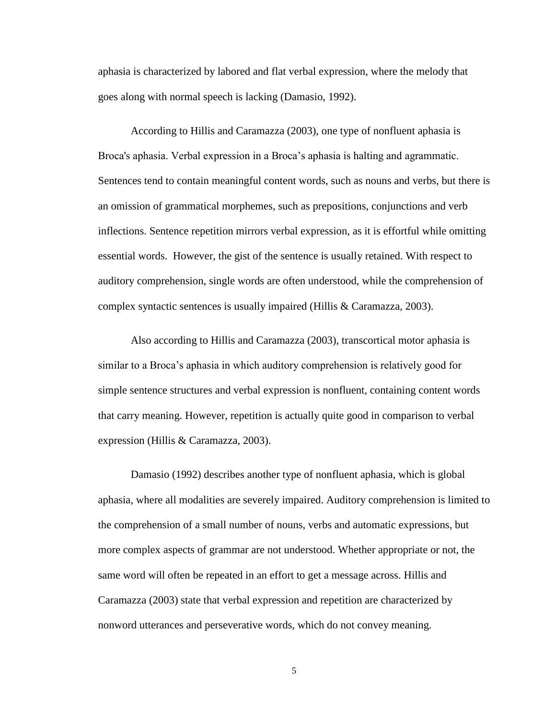aphasia is characterized by labored and flat verbal expression, where the melody that goes along with normal speech is lacking (Damasio, 1992).

According to Hillis and Caramazza (2003), one type of nonfluent aphasia is Broca's aphasia. Verbal expression in a Broca's aphasia is halting and agrammatic. Sentences tend to contain meaningful content words, such as nouns and verbs, but there is an omission of grammatical morphemes, such as prepositions, conjunctions and verb inflections. Sentence repetition mirrors verbal expression, as it is effortful while omitting essential words. However, the gist of the sentence is usually retained. With respect to auditory comprehension, single words are often understood, while the comprehension of complex syntactic sentences is usually impaired (Hillis & Caramazza, 2003).

Also according to Hillis and Caramazza (2003), transcortical motor aphasia is similar to a Broca's aphasia in which auditory comprehension is relatively good for simple sentence structures and verbal expression is nonfluent, containing content words that carry meaning. However, repetition is actually quite good in comparison to verbal expression (Hillis & Caramazza, 2003).

Damasio (1992) describes another type of nonfluent aphasia, which is global aphasia, where all modalities are severely impaired. Auditory comprehension is limited to the comprehension of a small number of nouns, verbs and automatic expressions, but more complex aspects of grammar are not understood. Whether appropriate or not, the same word will often be repeated in an effort to get a message across. Hillis and Caramazza (2003) state that verbal expression and repetition are characterized by nonword utterances and perseverative words, which do not convey meaning.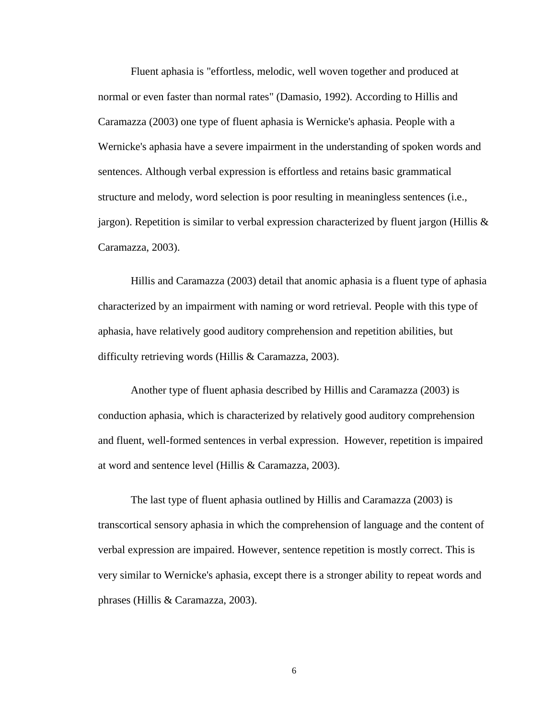Fluent aphasia is "effortless, melodic, well woven together and produced at normal or even faster than normal rates" (Damasio, 1992). According to Hillis and Caramazza (2003) one type of fluent aphasia is Wernicke's aphasia. People with a Wernicke's aphasia have a severe impairment in the understanding of spoken words and sentences. Although verbal expression is effortless and retains basic grammatical structure and melody, word selection is poor resulting in meaningless sentences (i.e., jargon). Repetition is similar to verbal expression characterized by fluent jargon (Hillis  $\&$ Caramazza, 2003).

Hillis and Caramazza (2003) detail that anomic aphasia is a fluent type of aphasia characterized by an impairment with naming or word retrieval. People with this type of aphasia, have relatively good auditory comprehension and repetition abilities, but difficulty retrieving words (Hillis & Caramazza, 2003).

Another type of fluent aphasia described by Hillis and Caramazza (2003) is conduction aphasia, which is characterized by relatively good auditory comprehension and fluent, well-formed sentences in verbal expression. However, repetition is impaired at word and sentence level (Hillis & Caramazza, 2003).

The last type of fluent aphasia outlined by Hillis and Caramazza (2003) is transcortical sensory aphasia in which the comprehension of language and the content of verbal expression are impaired. However, sentence repetition is mostly correct. This is very similar to Wernicke's aphasia, except there is a stronger ability to repeat words and phrases (Hillis & Caramazza, 2003).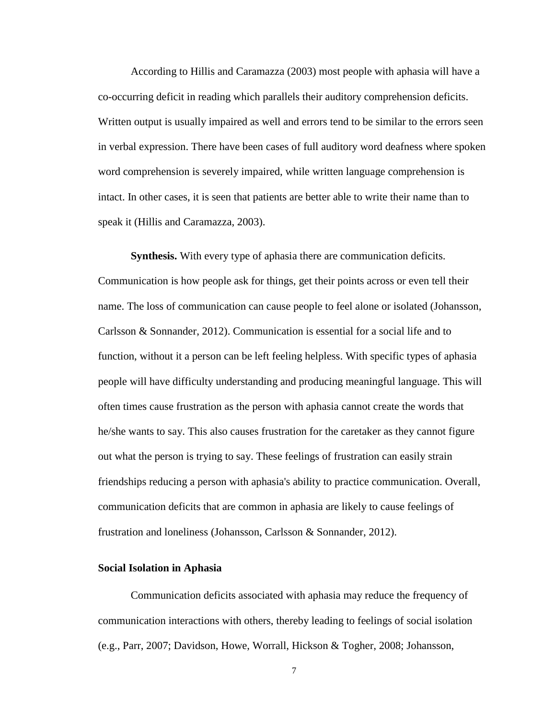According to Hillis and Caramazza (2003) most people with aphasia will have a co-occurring deficit in reading which parallels their auditory comprehension deficits. Written output is usually impaired as well and errors tend to be similar to the errors seen in verbal expression. There have been cases of full auditory word deafness where spoken word comprehension is severely impaired, while written language comprehension is intact. In other cases, it is seen that patients are better able to write their name than to speak it (Hillis and Caramazza, 2003).

<span id="page-11-0"></span>**Synthesis.** With every type of aphasia there are communication deficits. Communication is how people ask for things, get their points across or even tell their name. The loss of communication can cause people to feel alone or isolated (Johansson, Carlsson & Sonnander, 2012). Communication is essential for a social life and to function, without it a person can be left feeling helpless. With specific types of aphasia people will have difficulty understanding and producing meaningful language. This will often times cause frustration as the person with aphasia cannot create the words that he/she wants to say. This also causes frustration for the caretaker as they cannot figure out what the person is trying to say. These feelings of frustration can easily strain friendships reducing a person with aphasia's ability to practice communication. Overall, communication deficits that are common in aphasia are likely to cause feelings of frustration and loneliness (Johansson, Carlsson & Sonnander, 2012).

## <span id="page-11-1"></span>**Social Isolation in Aphasia**

Communication deficits associated with aphasia may reduce the frequency of communication interactions with others, thereby leading to feelings of social isolation (e.g., Parr, 2007; Davidson, Howe, Worrall, Hickson & Togher, 2008; Johansson,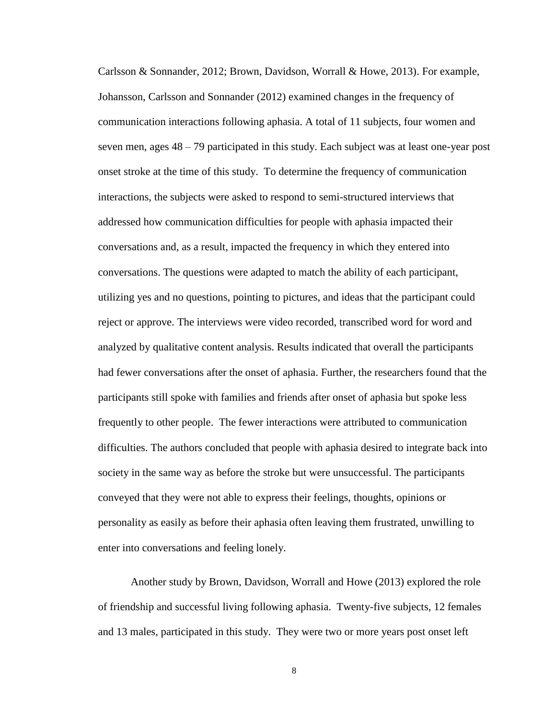Carlsson & Sonnander, 2012; Brown, Davidson, Worrall & Howe, 2013). For example, Johansson, Carlsson and Sonnander (2012) examined changes in the frequency of communication interactions following aphasia. A total of 11 subjects, four women and seven men, ages 48 – 79 participated in this study. Each subject was at least one-year post onset stroke at the time of this study. To determine the frequency of communication interactions, the subjects were asked to respond to semi-structured interviews that addressed how communication difficulties for people with aphasia impacted their conversations and, as a result, impacted the frequency in which they entered into conversations. The questions were adapted to match the ability of each participant, utilizing yes and no questions, pointing to pictures, and ideas that the participant could reject or approve. The interviews were video recorded, transcribed word for word and analyzed by qualitative content analysis. Results indicated that overall the participants had fewer conversations after the onset of aphasia. Further, the researchers found that the participants still spoke with families and friends after onset of aphasia but spoke less frequently to other people. The fewer interactions were attributed to communication difficulties. The authors concluded that people with aphasia desired to integrate back into society in the same way as before the stroke but were unsuccessful. The participants conveyed that they were not able to express their feelings, thoughts, opinions or personality as easily as before their aphasia often leaving them frustrated, unwilling to enter into conversations and feeling lonely.

Another study by Brown, Davidson, Worrall and Howe (2013) explored the role of friendship and successful living following aphasia. Twenty-five subjects, 12 females and 13 males, participated in this study. They were two or more years post onset left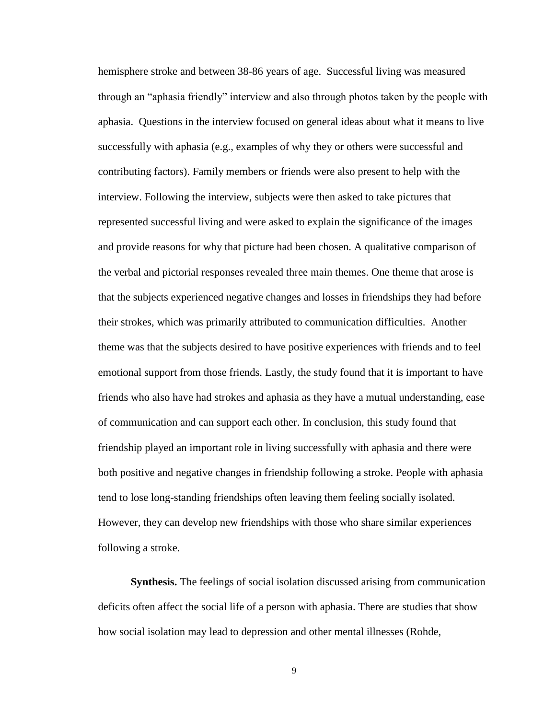hemisphere stroke and between 38-86 years of age. Successful living was measured through an "aphasia friendly" interview and also through photos taken by the people with aphasia. Questions in the interview focused on general ideas about what it means to live successfully with aphasia (e.g., examples of why they or others were successful and contributing factors). Family members or friends were also present to help with the interview. Following the interview, subjects were then asked to take pictures that represented successful living and were asked to explain the significance of the images and provide reasons for why that picture had been chosen. A qualitative comparison of the verbal and pictorial responses revealed three main themes. One theme that arose is that the subjects experienced negative changes and losses in friendships they had before their strokes, which was primarily attributed to communication difficulties. Another theme was that the subjects desired to have positive experiences with friends and to feel emotional support from those friends. Lastly, the study found that it is important to have friends who also have had strokes and aphasia as they have a mutual understanding, ease of communication and can support each other. In conclusion, this study found that friendship played an important role in living successfully with aphasia and there were both positive and negative changes in friendship following a stroke. People with aphasia tend to lose long-standing friendships often leaving them feeling socially isolated. However, they can develop new friendships with those who share similar experiences following a stroke.

<span id="page-13-0"></span>**Synthesis.** The feelings of social isolation discussed arising from communication deficits often affect the social life of a person with aphasia. There are studies that show how social isolation may lead to depression and other mental illnesses (Rohde,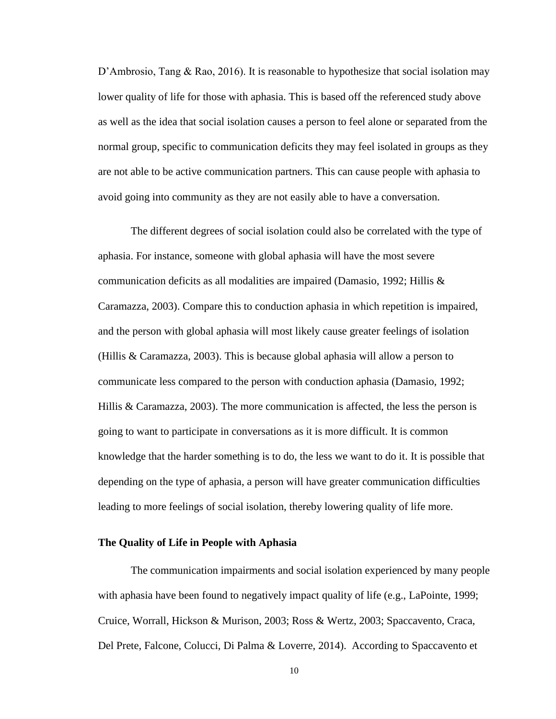D'Ambrosio, Tang & Rao, 2016). It is reasonable to hypothesize that social isolation may lower quality of life for those with aphasia. This is based off the referenced study above as well as the idea that social isolation causes a person to feel alone or separated from the normal group, specific to communication deficits they may feel isolated in groups as they are not able to be active communication partners. This can cause people with aphasia to avoid going into community as they are not easily able to have a conversation.

The different degrees of social isolation could also be correlated with the type of aphasia. For instance, someone with global aphasia will have the most severe communication deficits as all modalities are impaired (Damasio, 1992; Hillis & Caramazza, 2003). Compare this to conduction aphasia in which repetition is impaired, and the person with global aphasia will most likely cause greater feelings of isolation (Hillis & Caramazza, 2003). This is because global aphasia will allow a person to communicate less compared to the person with conduction aphasia (Damasio, 1992; Hillis & Caramazza, 2003). The more communication is affected, the less the person is going to want to participate in conversations as it is more difficult. It is common knowledge that the harder something is to do, the less we want to do it. It is possible that depending on the type of aphasia, a person will have greater communication difficulties leading to more feelings of social isolation, thereby lowering quality of life more.

#### <span id="page-14-0"></span>**The Quality of Life in People with Aphasia**

The communication impairments and social isolation experienced by many people with aphasia have been found to negatively impact quality of life (e.g., LaPointe, 1999; Cruice, Worrall, Hickson & Murison, 2003; Ross & Wertz, 2003; Spaccavento, Craca, Del Prete, Falcone, Colucci, Di Palma & Loverre, 2014). According to Spaccavento et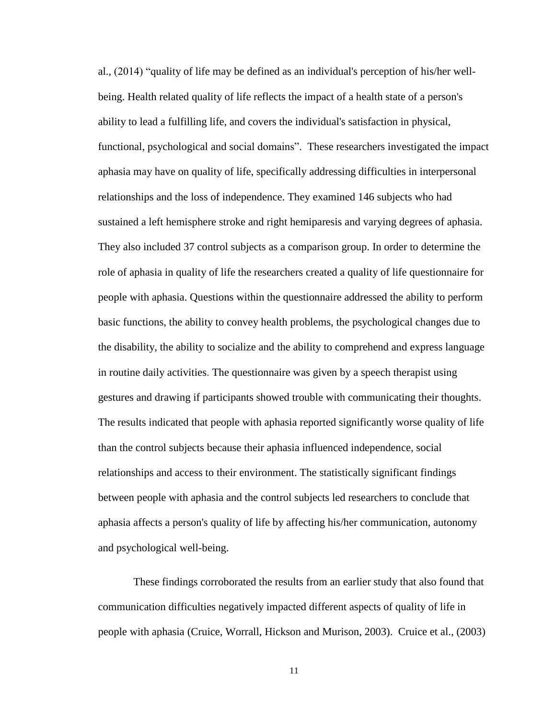al., (2014) "quality of life may be defined as an individual's perception of his/her wellbeing. Health related quality of life reflects the impact of a health state of a person's ability to lead a fulfilling life, and covers the individual's satisfaction in physical, functional, psychological and social domains". These researchers investigated the impact aphasia may have on quality of life, specifically addressing difficulties in interpersonal relationships and the loss of independence. They examined 146 subjects who had sustained a left hemisphere stroke and right hemiparesis and varying degrees of aphasia. They also included 37 control subjects as a comparison group. In order to determine the role of aphasia in quality of life the researchers created a quality of life questionnaire for people with aphasia. Questions within the questionnaire addressed the ability to perform basic functions, the ability to convey health problems, the psychological changes due to the disability, the ability to socialize and the ability to comprehend and express language in routine daily activities. The questionnaire was given by a speech therapist using gestures and drawing if participants showed trouble with communicating their thoughts. The results indicated that people with aphasia reported significantly worse quality of life than the control subjects because their aphasia influenced independence, social relationships and access to their environment. The statistically significant findings between people with aphasia and the control subjects led researchers to conclude that aphasia affects a person's quality of life by affecting his/her communication, autonomy and psychological well-being.

These findings corroborated the results from an earlier study that also found that communication difficulties negatively impacted different aspects of quality of life in people with aphasia (Cruice, Worrall, Hickson and Murison, 2003). Cruice et al., (2003)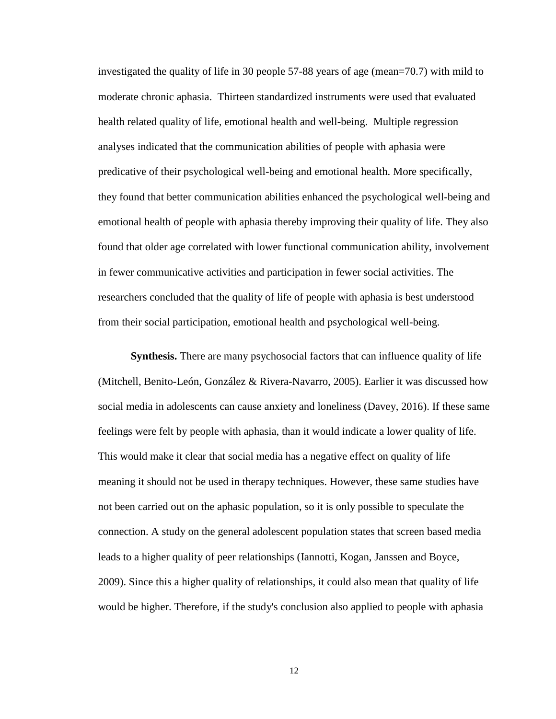investigated the quality of life in 30 people 57-88 years of age (mean=70.7) with mild to moderate chronic aphasia. Thirteen standardized instruments were used that evaluated health related quality of life, emotional health and well-being. Multiple regression analyses indicated that the communication abilities of people with aphasia were predicative of their psychological well-being and emotional health. More specifically, they found that better communication abilities enhanced the psychological well-being and emotional health of people with aphasia thereby improving their quality of life. They also found that older age correlated with lower functional communication ability, involvement in fewer communicative activities and participation in fewer social activities. The researchers concluded that the quality of life of people with aphasia is best understood from their social participation, emotional health and psychological well-being.

<span id="page-16-0"></span>**Synthesis.** There are many psychosocial factors that can influence quality of life (Mitchell, Benito-León, González & Rivera-Navarro, 2005). Earlier it was discussed how social media in adolescents can cause anxiety and loneliness (Davey, 2016). If these same feelings were felt by people with aphasia, than it would indicate a lower quality of life. This would make it clear that social media has a negative effect on quality of life meaning it should not be used in therapy techniques. However, these same studies have not been carried out on the aphasic population, so it is only possible to speculate the connection. A study on the general adolescent population states that screen based media leads to a higher quality of peer relationships (Iannotti, Kogan, Janssen and Boyce, 2009). Since this a higher quality of relationships, it could also mean that quality of life would be higher. Therefore, if the study's conclusion also applied to people with aphasia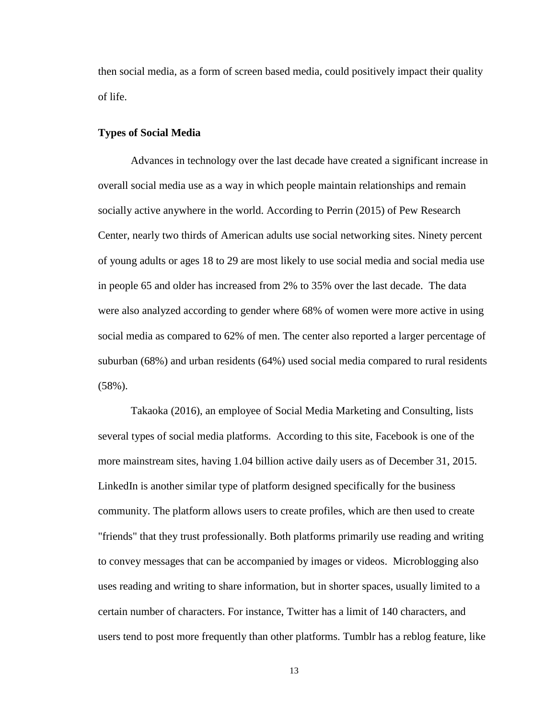then social media, as a form of screen based media, could positively impact their quality of life.

# <span id="page-17-0"></span>**Types of Social Media**

Advances in technology over the last decade have created a significant increase in overall social media use as a way in which people maintain relationships and remain socially active anywhere in the world. According to Perrin (2015) of Pew Research Center, nearly two thirds of American adults use social networking sites. Ninety percent of young adults or ages 18 to 29 are most likely to use social media and social media use in people 65 and older has increased from 2% to 35% over the last decade. The data were also analyzed according to gender where 68% of women were more active in using social media as compared to 62% of men. The center also reported a larger percentage of suburban (68%) and urban residents (64%) used social media compared to rural residents (58%).

Takaoka (2016), an employee of Social Media Marketing and Consulting, lists several types of social media platforms. According to this site, Facebook is one of the more mainstream sites, having 1.04 billion active daily users as of December 31, 2015. LinkedIn is another similar type of platform designed specifically for the business community. The platform allows users to create profiles, which are then used to create "friends" that they trust professionally. Both platforms primarily use reading and writing to convey messages that can be accompanied by images or videos. Microblogging also uses reading and writing to share information, but in shorter spaces, usually limited to a certain number of characters. For instance, Twitter has a limit of 140 characters, and users tend to post more frequently than other platforms. Tumblr has a reblog feature, like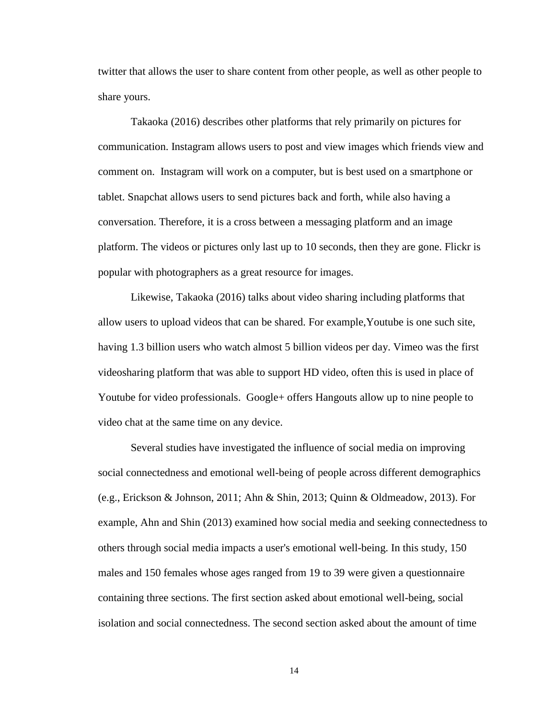twitter that allows the user to share content from other people, as well as other people to share yours.

Takaoka (2016) describes other platforms that rely primarily on pictures for communication. Instagram allows users to post and view images which friends view and comment on. Instagram will work on a computer, but is best used on a smartphone or tablet. Snapchat allows users to send pictures back and forth, while also having a conversation. Therefore, it is a cross between a messaging platform and an image platform. The videos or pictures only last up to 10 seconds, then they are gone. Flickr is popular with photographers as a great resource for images.

Likewise, Takaoka (2016) talks about video sharing including platforms that allow users to upload videos that can be shared. For example,Youtube is one such site, having 1.3 billion users who watch almost 5 billion videos per day. Vimeo was the first videosharing platform that was able to support HD video, often this is used in place of Youtube for video professionals. Google+ offers Hangouts allow up to nine people to video chat at the same time on any device.

Several studies have investigated the influence of social media on improving social connectedness and emotional well-being of people across different demographics (e.g., Erickson & Johnson, 2011; Ahn & Shin, 2013; Quinn & Oldmeadow, 2013). For example, Ahn and Shin (2013) examined how social media and seeking connectedness to others through social media impacts a user's emotional well-being. In this study, 150 males and 150 females whose ages ranged from 19 to 39 were given a questionnaire containing three sections. The first section asked about emotional well-being, social isolation and social connectedness. The second section asked about the amount of time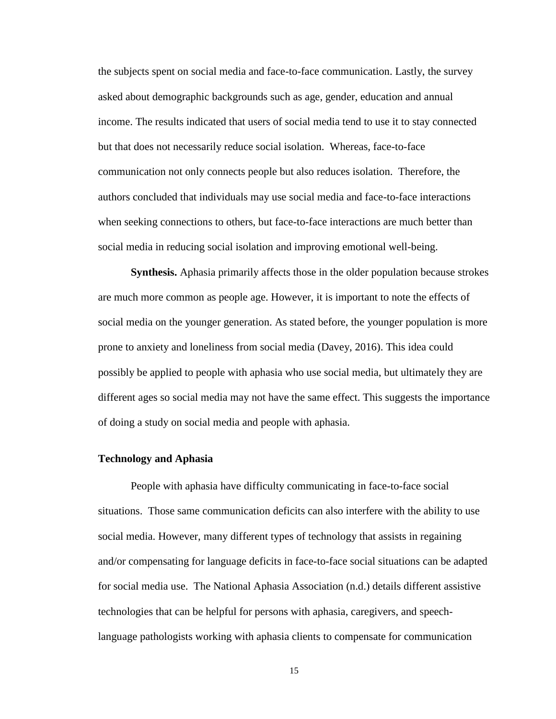the subjects spent on social media and face-to-face communication. Lastly, the survey asked about demographic backgrounds such as age, gender, education and annual income. The results indicated that users of social media tend to use it to stay connected but that does not necessarily reduce social isolation. Whereas, face-to-face communication not only connects people but also reduces isolation. Therefore, the authors concluded that individuals may use social media and face-to-face interactions when seeking connections to others, but face-to-face interactions are much better than social media in reducing social isolation and improving emotional well-being.

<span id="page-19-0"></span>**Synthesis.** Aphasia primarily affects those in the older population because strokes are much more common as people age. However, it is important to note the effects of social media on the younger generation. As stated before, the younger population is more prone to anxiety and loneliness from social media (Davey, 2016). This idea could possibly be applied to people with aphasia who use social media, but ultimately they are different ages so social media may not have the same effect. This suggests the importance of doing a study on social media and people with aphasia.

# <span id="page-19-1"></span>**Technology and Aphasia**

People with aphasia have difficulty communicating in face-to-face social situations. Those same communication deficits can also interfere with the ability to use social media. However, many different types of technology that assists in regaining and/or compensating for language deficits in face-to-face social situations can be adapted for social media use. The National Aphasia Association (n.d.) details different assistive technologies that can be helpful for persons with aphasia, caregivers, and speechlanguage pathologists working with aphasia clients to compensate for communication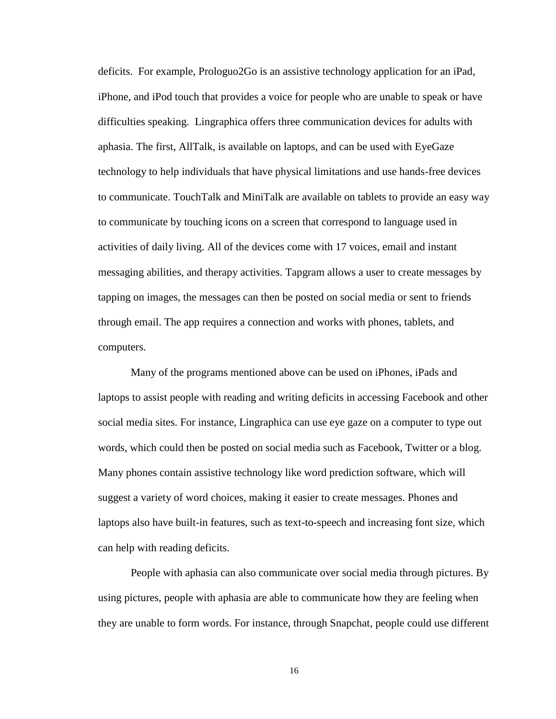deficits. For example, Prologuo2Go is an assistive technology application for an iPad, iPhone, and iPod touch that provides a voice for people who are unable to speak or have difficulties speaking. Lingraphica offers three communication devices for adults with aphasia. The first, AllTalk, is available on laptops, and can be used with EyeGaze technology to help individuals that have physical limitations and use hands-free devices to communicate. TouchTalk and MiniTalk are available on tablets to provide an easy way to communicate by touching icons on a screen that correspond to language used in activities of daily living. All of the devices come with 17 voices, email and instant messaging abilities, and therapy activities. Tapgram allows a user to create messages by tapping on images, the messages can then be posted on social media or sent to friends through email. The app requires a connection and works with phones, tablets, and computers.

Many of the programs mentioned above can be used on iPhones, iPads and laptops to assist people with reading and writing deficits in accessing Facebook and other social media sites. For instance, Lingraphica can use eye gaze on a computer to type out words, which could then be posted on social media such as Facebook, Twitter or a blog. Many phones contain assistive technology like word prediction software, which will suggest a variety of word choices, making it easier to create messages. Phones and laptops also have built-in features, such as text-to-speech and increasing font size, which can help with reading deficits.

People with aphasia can also communicate over social media through pictures. By using pictures, people with aphasia are able to communicate how they are feeling when they are unable to form words. For instance, through Snapchat, people could use different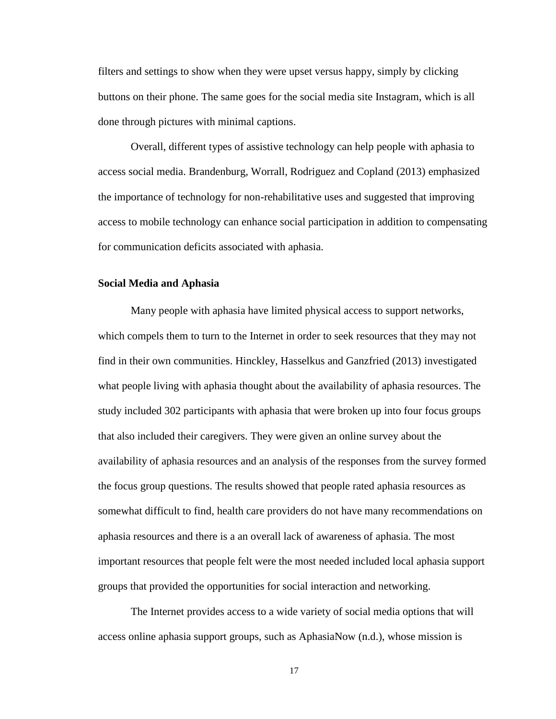filters and settings to show when they were upset versus happy, simply by clicking buttons on their phone. The same goes for the social media site Instagram, which is all done through pictures with minimal captions.

Overall, different types of assistive technology can help people with aphasia to access social media. Brandenburg, Worrall, Rodriguez and Copland (2013) emphasized the importance of technology for non-rehabilitative uses and suggested that improving access to mobile technology can enhance social participation in addition to compensating for communication deficits associated with aphasia.

#### <span id="page-21-0"></span>**Social Media and Aphasia**

Many people with aphasia have limited physical access to support networks, which compels them to turn to the Internet in order to seek resources that they may not find in their own communities. Hinckley, Hasselkus and Ganzfried (2013) investigated what people living with aphasia thought about the availability of aphasia resources. The study included 302 participants with aphasia that were broken up into four focus groups that also included their caregivers. They were given an online survey about the availability of aphasia resources and an analysis of the responses from the survey formed the focus group questions. The results showed that people rated aphasia resources as somewhat difficult to find, health care providers do not have many recommendations on aphasia resources and there is a an overall lack of awareness of aphasia. The most important resources that people felt were the most needed included local aphasia support groups that provided the opportunities for social interaction and networking.

The Internet provides access to a wide variety of social media options that will access online aphasia support groups, such as AphasiaNow (n.d.), whose mission is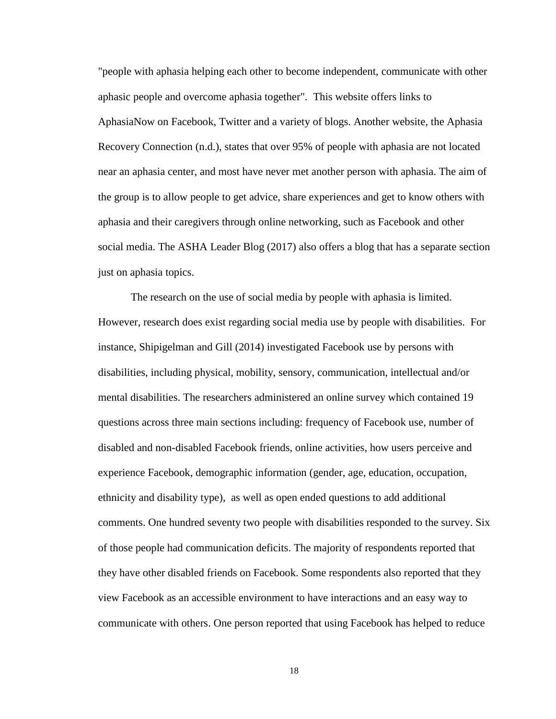"people with aphasia helping each other to become independent, communicate with other aphasic people and overcome aphasia together". This website offers links to AphasiaNow on Facebook, Twitter and a variety of blogs. Another website, the Aphasia Recovery Connection (n.d.), states that over 95% of people with aphasia are not located near an aphasia center, and most have never met another person with aphasia. The aim of the group is to allow people to get advice, share experiences and get to know others with aphasia and their caregivers through online networking, such as Facebook and other social media. The ASHA Leader Blog (2017) also offers a blog that has a separate section just on aphasia topics.

The research on the use of social media by people with aphasia is limited. However, research does exist regarding social media use by people with disabilities. For instance, Shipigelman and Gill (2014) investigated Facebook use by persons with disabilities, including physical, mobility, sensory, communication, intellectual and/or mental disabilities. The researchers administered an online survey which contained 19 questions across three main sections including: frequency of Facebook use, number of disabled and non-disabled Facebook friends, online activities, how users perceive and experience Facebook, demographic information (gender, age, education, occupation, ethnicity and disability type), as well as open ended questions to add additional comments. One hundred seventy two people with disabilities responded to the survey. Six of those people had communication deficits. The majority of respondents reported that they have other disabled friends on Facebook. Some respondents also reported that they view Facebook as an accessible environment to have interactions and an easy way to communicate with others. One person reported that using Facebook has helped to reduce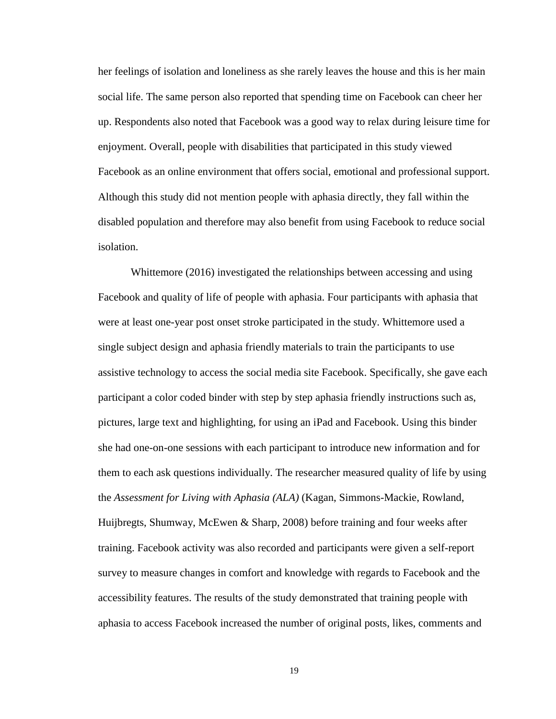her feelings of isolation and loneliness as she rarely leaves the house and this is her main social life. The same person also reported that spending time on Facebook can cheer her up. Respondents also noted that Facebook was a good way to relax during leisure time for enjoyment. Overall, people with disabilities that participated in this study viewed Facebook as an online environment that offers social, emotional and professional support. Although this study did not mention people with aphasia directly, they fall within the disabled population and therefore may also benefit from using Facebook to reduce social isolation.

Whittemore (2016) investigated the relationships between accessing and using Facebook and quality of life of people with aphasia. Four participants with aphasia that were at least one-year post onset stroke participated in the study. Whittemore used a single subject design and aphasia friendly materials to train the participants to use assistive technology to access the social media site Facebook. Specifically, she gave each participant a color coded binder with step by step aphasia friendly instructions such as, pictures, large text and highlighting, for using an iPad and Facebook. Using this binder she had one-on-one sessions with each participant to introduce new information and for them to each ask questions individually. The researcher measured quality of life by using the *Assessment for Living with Aphasia (ALA)* (Kagan, Simmons-Mackie, Rowland, Huijbregts, Shumway, McEwen & Sharp, 2008) before training and four weeks after training. Facebook activity was also recorded and participants were given a self-report survey to measure changes in comfort and knowledge with regards to Facebook and the accessibility features. The results of the study demonstrated that training people with aphasia to access Facebook increased the number of original posts, likes, comments and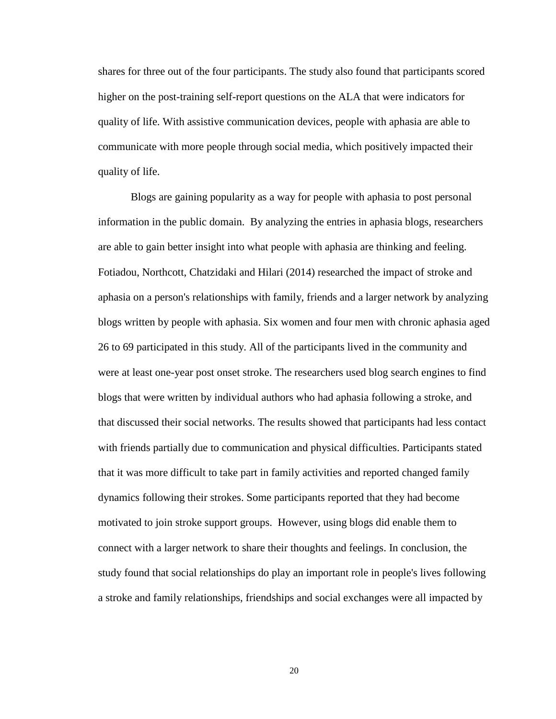shares for three out of the four participants. The study also found that participants scored higher on the post-training self-report questions on the ALA that were indicators for quality of life. With assistive communication devices, people with aphasia are able to communicate with more people through social media, which positively impacted their quality of life.

Blogs are gaining popularity as a way for people with aphasia to post personal information in the public domain. By analyzing the entries in aphasia blogs, researchers are able to gain better insight into what people with aphasia are thinking and feeling. Fotiadou, Northcott, Chatzidaki and Hilari (2014) researched the impact of stroke and aphasia on a person's relationships with family, friends and a larger network by analyzing blogs written by people with aphasia. Six women and four men with chronic aphasia aged 26 to 69 participated in this study. All of the participants lived in the community and were at least one-year post onset stroke. The researchers used blog search engines to find blogs that were written by individual authors who had aphasia following a stroke, and that discussed their social networks. The results showed that participants had less contact with friends partially due to communication and physical difficulties. Participants stated that it was more difficult to take part in family activities and reported changed family dynamics following their strokes. Some participants reported that they had become motivated to join stroke support groups. However, using blogs did enable them to connect with a larger network to share their thoughts and feelings. In conclusion, the study found that social relationships do play an important role in people's lives following a stroke and family relationships, friendships and social exchanges were all impacted by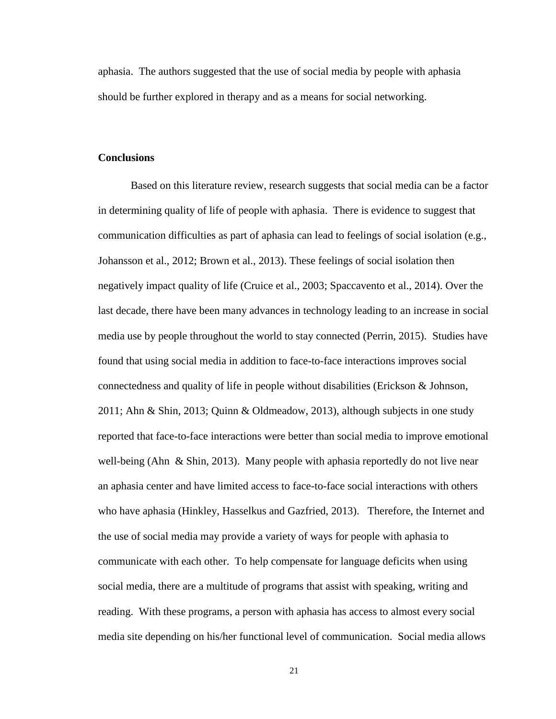aphasia. The authors suggested that the use of social media by people with aphasia should be further explored in therapy and as a means for social networking.

## <span id="page-25-0"></span>**Conclusions**

Based on this literature review, research suggests that social media can be a factor in determining quality of life of people with aphasia. There is evidence to suggest that communication difficulties as part of aphasia can lead to feelings of social isolation (e.g., Johansson et al., 2012; Brown et al., 2013). These feelings of social isolation then negatively impact quality of life (Cruice et al., 2003; Spaccavento et al., 2014). Over the last decade, there have been many advances in technology leading to an increase in social media use by people throughout the world to stay connected (Perrin, 2015). Studies have found that using social media in addition to face-to-face interactions improves social connectedness and quality of life in people without disabilities (Erickson & Johnson, 2011; Ahn & Shin, 2013; Quinn & Oldmeadow, 2013), although subjects in one study reported that face-to-face interactions were better than social media to improve emotional well-being (Ahn & Shin, 2013). Many people with aphasia reportedly do not live near an aphasia center and have limited access to face-to-face social interactions with others who have aphasia (Hinkley, Hasselkus and Gazfried, 2013). Therefore, the Internet and the use of social media may provide a variety of ways for people with aphasia to communicate with each other. To help compensate for language deficits when using social media, there are a multitude of programs that assist with speaking, writing and reading. With these programs, a person with aphasia has access to almost every social media site depending on his/her functional level of communication. Social media allows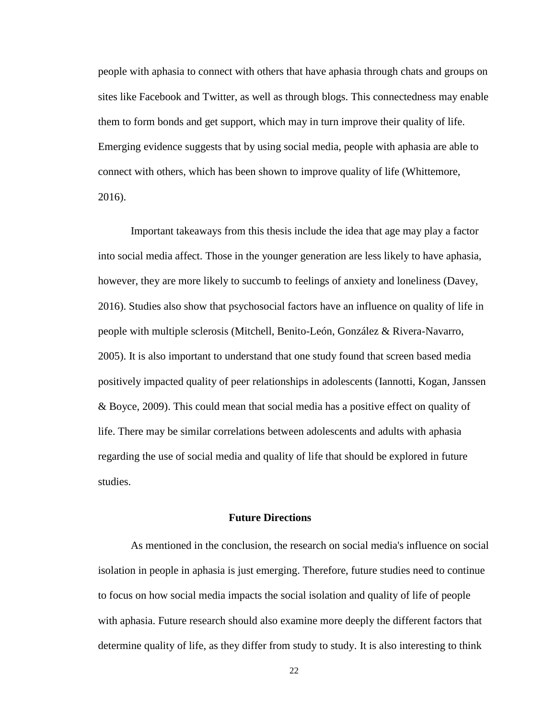people with aphasia to connect with others that have aphasia through chats and groups on sites like Facebook and Twitter, as well as through blogs. This connectedness may enable them to form bonds and get support, which may in turn improve their quality of life. Emerging evidence suggests that by using social media, people with aphasia are able to connect with others, which has been shown to improve quality of life (Whittemore, 2016).

Important takeaways from this thesis include the idea that age may play a factor into social media affect. Those in the younger generation are less likely to have aphasia, however, they are more likely to succumb to feelings of anxiety and loneliness (Davey, 2016). Studies also show that psychosocial factors have an influence on quality of life in people with multiple sclerosis (Mitchell, Benito-León, González & Rivera-Navarro, 2005). It is also important to understand that one study found that screen based media positively impacted quality of peer relationships in adolescents (Iannotti, Kogan, Janssen & Boyce, 2009). This could mean that social media has a positive effect on quality of life. There may be similar correlations between adolescents and adults with aphasia regarding the use of social media and quality of life that should be explored in future studies.

#### **Future Directions**

<span id="page-26-0"></span>As mentioned in the conclusion, the research on social media's influence on social isolation in people in aphasia is just emerging. Therefore, future studies need to continue to focus on how social media impacts the social isolation and quality of life of people with aphasia. Future research should also examine more deeply the different factors that determine quality of life, as they differ from study to study. It is also interesting to think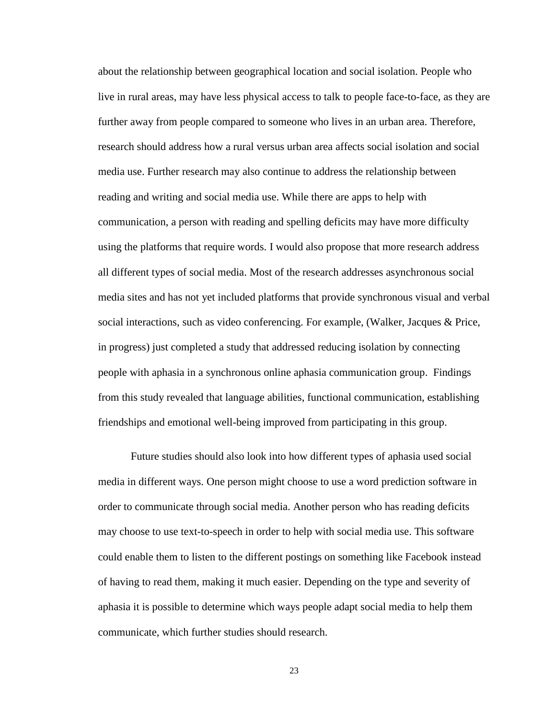about the relationship between geographical location and social isolation. People who live in rural areas, may have less physical access to talk to people face-to-face, as they are further away from people compared to someone who lives in an urban area. Therefore, research should address how a rural versus urban area affects social isolation and social media use. Further research may also continue to address the relationship between reading and writing and social media use. While there are apps to help with communication, a person with reading and spelling deficits may have more difficulty using the platforms that require words. I would also propose that more research address all different types of social media. Most of the research addresses asynchronous social media sites and has not yet included platforms that provide synchronous visual and verbal social interactions, such as video conferencing. For example, (Walker, Jacques & Price, in progress) just completed a study that addressed reducing isolation by connecting people with aphasia in a synchronous online aphasia communication group. Findings from this study revealed that language abilities, functional communication, establishing friendships and emotional well-being improved from participating in this group.

Future studies should also look into how different types of aphasia used social media in different ways. One person might choose to use a word prediction software in order to communicate through social media. Another person who has reading deficits may choose to use text-to-speech in order to help with social media use. This software could enable them to listen to the different postings on something like Facebook instead of having to read them, making it much easier. Depending on the type and severity of aphasia it is possible to determine which ways people adapt social media to help them communicate, which further studies should research.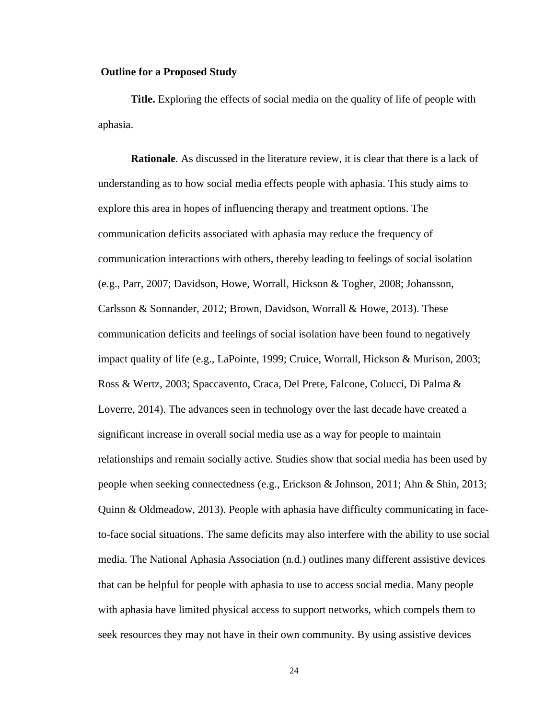#### <span id="page-28-0"></span>**Outline for a Proposed Study**

<span id="page-28-1"></span>**Title.** Exploring the effects of social media on the quality of life of people with aphasia.

<span id="page-28-2"></span>**Rationale**. As discussed in the literature review, it is clear that there is a lack of understanding as to how social media effects people with aphasia. This study aims to explore this area in hopes of influencing therapy and treatment options. The communication deficits associated with aphasia may reduce the frequency of communication interactions with others, thereby leading to feelings of social isolation (e.g., Parr, 2007; Davidson, Howe, Worrall, Hickson & Togher, 2008; Johansson, Carlsson & Sonnander, 2012; Brown, Davidson, Worrall & Howe, 2013). These communication deficits and feelings of social isolation have been found to negatively impact quality of life (e.g., LaPointe, 1999; Cruice, Worrall, Hickson & Murison, 2003; Ross & Wertz, 2003; Spaccavento, Craca, Del Prete, Falcone, Colucci, Di Palma & Loverre, 2014). The advances seen in technology over the last decade have created a significant increase in overall social media use as a way for people to maintain relationships and remain socially active. Studies show that social media has been used by people when seeking connectedness (e.g., Erickson & Johnson, 2011; Ahn & Shin, 2013; Quinn & Oldmeadow, 2013). People with aphasia have difficulty communicating in faceto-face social situations. The same deficits may also interfere with the ability to use social media. The National Aphasia Association (n.d.) outlines many different assistive devices that can be helpful for people with aphasia to use to access social media. Many people with aphasia have limited physical access to support networks, which compels them to seek resources they may not have in their own community. By using assistive devices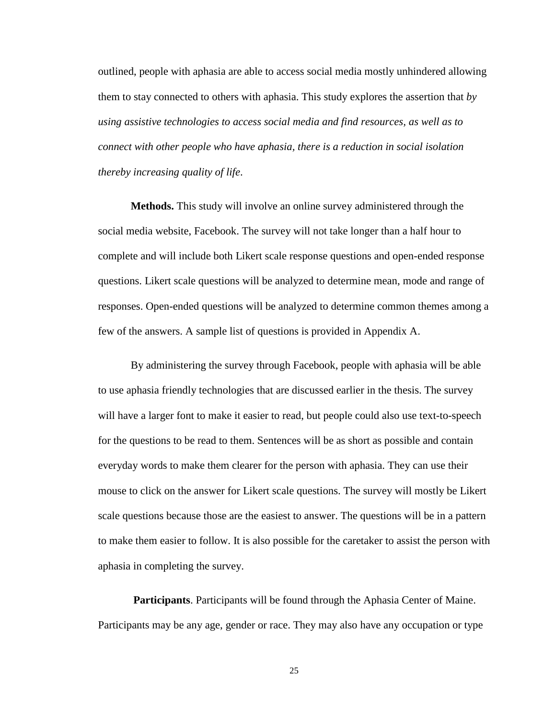outlined, people with aphasia are able to access social media mostly unhindered allowing them to stay connected to others with aphasia. This study explores the assertion that *by using assistive technologies to access social media and find resources, as well as to connect with other people who have aphasia, there is a reduction in social isolation thereby increasing quality of life*.

<span id="page-29-0"></span>**Methods.** This study will involve an online survey administered through the social media website, Facebook. The survey will not take longer than a half hour to complete and will include both Likert scale response questions and open-ended response questions. Likert scale questions will be analyzed to determine mean, mode and range of responses. Open-ended questions will be analyzed to determine common themes among a few of the answers. A sample list of questions is provided in Appendix A.

By administering the survey through Facebook, people with aphasia will be able to use aphasia friendly technologies that are discussed earlier in the thesis. The survey will have a larger font to make it easier to read, but people could also use text-to-speech for the questions to be read to them. Sentences will be as short as possible and contain everyday words to make them clearer for the person with aphasia. They can use their mouse to click on the answer for Likert scale questions. The survey will mostly be Likert scale questions because those are the easiest to answer. The questions will be in a pattern to make them easier to follow. It is also possible for the caretaker to assist the person with aphasia in completing the survey.

<span id="page-29-1"></span>**Participants**. Participants will be found through the Aphasia Center of Maine. Participants may be any age, gender or race. They may also have any occupation or type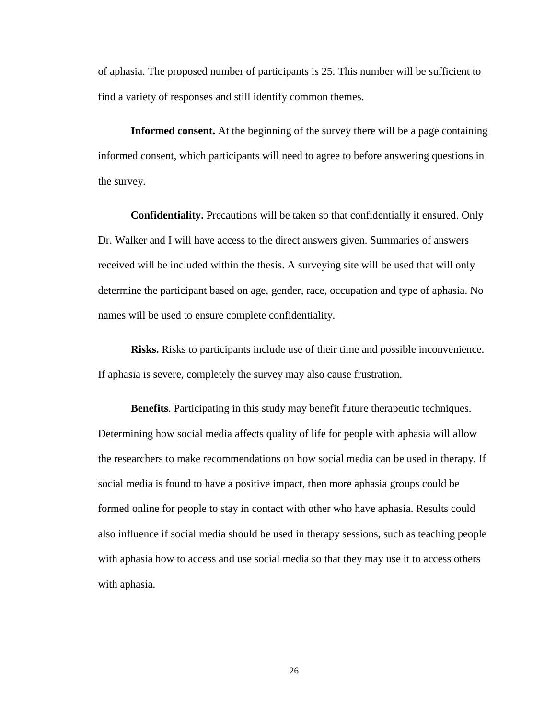of aphasia. The proposed number of participants is 25. This number will be sufficient to find a variety of responses and still identify common themes.

<span id="page-30-0"></span>**Informed consent.** At the beginning of the survey there will be a page containing informed consent, which participants will need to agree to before answering questions in the survey.

<span id="page-30-1"></span>**Confidentiality.** Precautions will be taken so that confidentially it ensured. Only Dr. Walker and I will have access to the direct answers given. Summaries of answers received will be included within the thesis. A surveying site will be used that will only determine the participant based on age, gender, race, occupation and type of aphasia. No names will be used to ensure complete confidentiality.

<span id="page-30-2"></span>**Risks.** Risks to participants include use of their time and possible inconvenience. If aphasia is severe, completely the survey may also cause frustration.

<span id="page-30-3"></span>**Benefits**. Participating in this study may benefit future therapeutic techniques. Determining how social media affects quality of life for people with aphasia will allow the researchers to make recommendations on how social media can be used in therapy. If social media is found to have a positive impact, then more aphasia groups could be formed online for people to stay in contact with other who have aphasia. Results could also influence if social media should be used in therapy sessions, such as teaching people with aphasia how to access and use social media so that they may use it to access others with aphasia.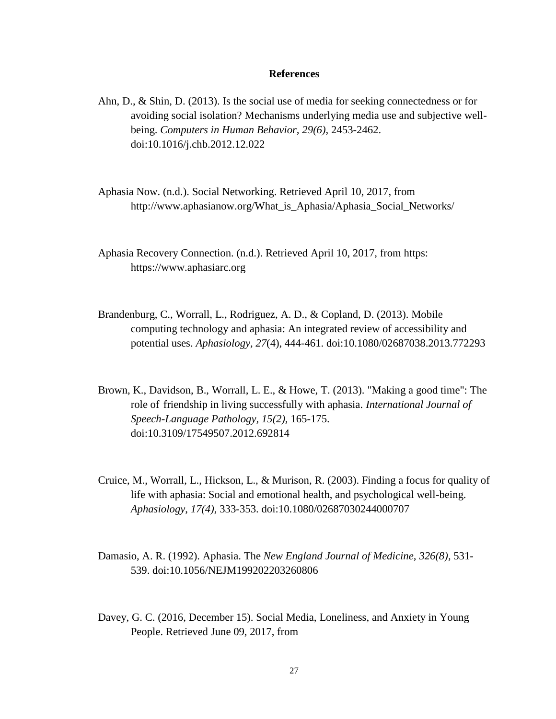#### **References**

- <span id="page-31-0"></span>Ahn, D., & Shin, D. (2013). Is the social use of media for seeking connectedness or for avoiding social isolation? Mechanisms underlying media use and subjective wellbeing. *Computers in Human Behavior, 29(6)*, 2453-2462. doi:10.1016/j.chb.2012.12.022
- Aphasia Now. (n.d.). Social Networking. Retrieved April 10, 2017, from http://www.aphasianow.org/What\_is\_Aphasia/Aphasia\_Social\_Networks/
- Aphasia Recovery Connection. (n.d.). Retrieved April 10, 2017, from https: https://www.aphasiarc.org
- Brandenburg, C., Worrall, L., Rodriguez, A. D., & Copland, D. (2013). Mobile computing technology and aphasia: An integrated review of accessibility and potential uses. *Aphasiology, 27*(4), 444-461. doi:10.1080/02687038.2013.772293
- Brown, K., Davidson, B., Worrall, L. E., & Howe, T. (2013). "Making a good time": The role of friendship in living successfully with aphasia. *International Journal of Speech-Language Pathology, 15(2),* 165-175. doi:10.3109/17549507.2012.692814
- Cruice, M., Worrall, L., Hickson, L., & Murison, R. (2003). Finding a focus for quality of life with aphasia: Social and emotional health, and psychological well-being. *Aphasiology*, *17(4),* 333-353. doi:10.1080/02687030244000707
- Damasio, A. R. (1992). Aphasia. The *New England Journal of Medicine*, *326(8),* 531- 539. doi:10.1056/NEJM199202203260806
- Davey, G. C. (2016, December 15). Social Media, Loneliness, and Anxiety in Young People. Retrieved June 09, 2017, from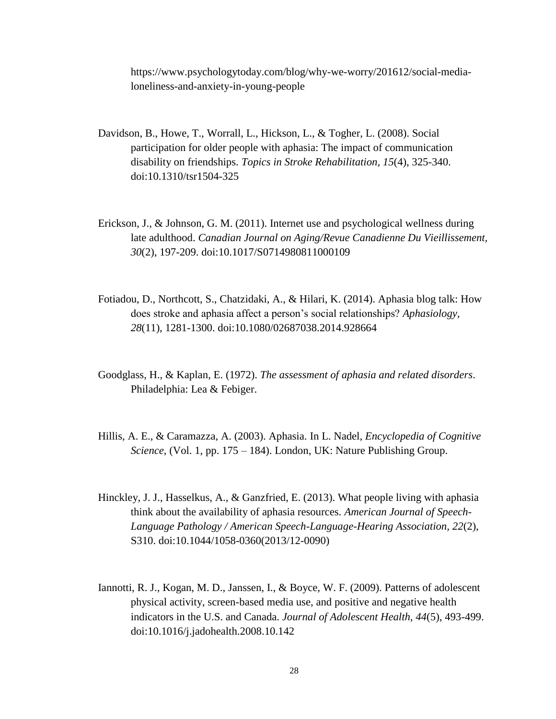https://www.psychologytoday.com/blog/why-we-worry/201612/social-medialoneliness-and-anxiety-in-young-people

- Davidson, B., Howe, T., Worrall, L., Hickson, L., & Togher, L. (2008). Social participation for older people with aphasia: The impact of communication disability on friendships. *Topics in Stroke Rehabilitation, 15*(4), 325-340. doi:10.1310/tsr1504-325
- Erickson, J., & Johnson, G. M. (2011). Internet use and psychological wellness during late adulthood. *Canadian Journal on Aging/Revue Canadienne Du Vieillissement, 30*(2), 197-209. doi:10.1017/S0714980811000109
- Fotiadou, D., Northcott, S., Chatzidaki, A., & Hilari, K. (2014). Aphasia blog talk: How does stroke and aphasia affect a person's social relationships? *Aphasiology, 28*(11), 1281-1300. doi:10.1080/02687038.2014.928664
- Goodglass, H., & Kaplan, E. (1972). *The assessment of aphasia and related disorders*. Philadelphia: Lea & Febiger.
- Hillis, A. E., & Caramazza, A. (2003). Aphasia. In L. Nadel, *Encyclopedia of Cognitive Science*, (Vol. 1, pp. 175 – 184). London, UK: Nature Publishing Group.
- Hinckley, J. J., Hasselkus, A., & Ganzfried, E. (2013). What people living with aphasia think about the availability of aphasia resources. *American Journal of Speech-Language Pathology / American Speech-Language-Hearing Association, 22*(2), S310. doi:10.1044/1058-0360(2013/12-0090)
- Iannotti, R. J., Kogan, M. D., Janssen, I., & Boyce, W. F. (2009). Patterns of adolescent physical activity, screen-based media use, and positive and negative health indicators in the U.S. and Canada. *Journal of Adolescent Health, 44*(5), 493-499. doi:10.1016/j.jadohealth.2008.10.142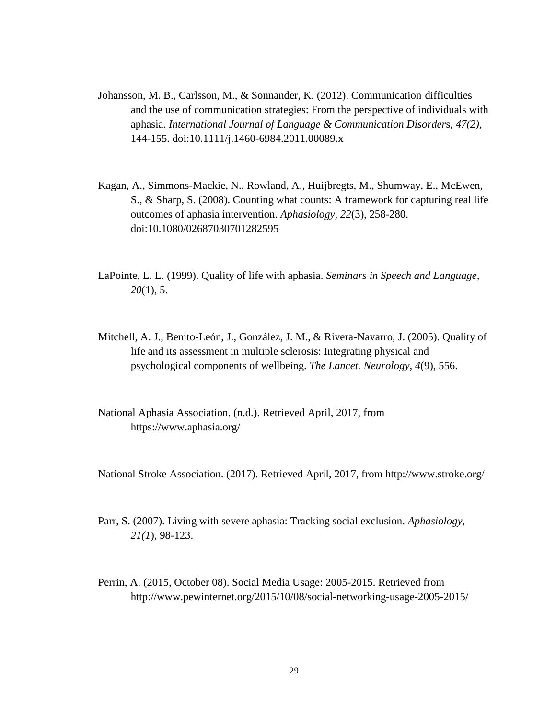- Johansson, M. B., Carlsson, M., & Sonnander, K. (2012). Communication difficulties and the use of communication strategies: From the perspective of individuals with aphasia. *International Journal of Language & Communication Disorder*s, *47(2),* 144-155. doi:10.1111/j.1460-6984.2011.00089.x
- Kagan, A., Simmons-Mackie, N., Rowland, A., Huijbregts, M., Shumway, E., McEwen, S., & Sharp, S. (2008). Counting what counts: A framework for capturing real life outcomes of aphasia intervention. *Aphasiology, 22*(3), 258-280. doi:10.1080/02687030701282595
- LaPointe, L. L. (1999). Quality of life with aphasia. *Seminars in Speech and Language, 20*(1), 5.
- Mitchell, A. J., Benito-León, J., González, J. M., & Rivera-Navarro, J. (2005). Quality of life and its assessment in multiple sclerosis: Integrating physical and psychological components of wellbeing. *The Lancet. Neurology, 4*(9), 556.
- National Aphasia Association. (n.d.). Retrieved April, 2017, from https://www.aphasia.org/

National Stroke Association. (2017). Retrieved April, 2017, from http://www.stroke.org/

- Parr, S. (2007). Living with severe aphasia: Tracking social exclusion. *Aphasiology, 21(1*), 98-123.
- Perrin, A. (2015, October 08). Social Media Usage: 2005-2015. Retrieved from http://www.pewinternet.org/2015/10/08/social-networking-usage-2005-2015/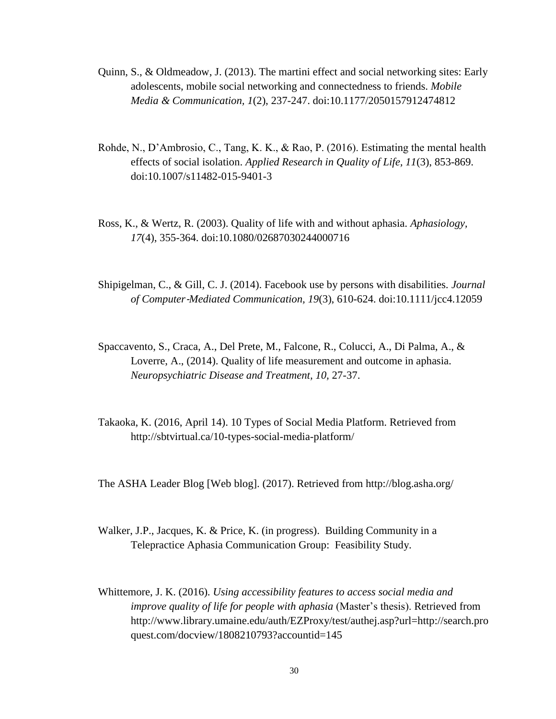- Quinn, S., & Oldmeadow, J. (2013). The martini effect and social networking sites: Early adolescents, mobile social networking and connectedness to friends. *Mobile Media & Communication, 1*(2), 237-247. doi:10.1177/2050157912474812
- Rohde, N., D'Ambrosio, C., Tang, K. K., & Rao, P. (2016). Estimating the mental health effects of social isolation. *Applied Research in Quality of Life, 11*(3), 853-869. doi:10.1007/s11482-015-9401-3
- Ross, K., & Wertz, R. (2003). Quality of life with and without aphasia. *Aphasiology, 17*(4), 355-364. doi:10.1080/02687030244000716
- Shipigelman, C., & Gill, C. J. (2014). Facebook use by persons with disabilities. *Journal of Computer*‐*Mediated Communication, 19*(3), 610-624. doi:10.1111/jcc4.12059
- Spaccavento, S., Craca, A., Del Prete, M., Falcone, R., Colucci, A., Di Palma, A., & Loverre, A., (2014). Quality of life measurement and outcome in aphasia. *Neuropsychiatric Disease and Treatment, 10,* 27-37.
- Takaoka, K. (2016, April 14). 10 Types of Social Media Platform. Retrieved from http://sbtvirtual.ca/10-types-social-media-platform/

The ASHA Leader Blog [Web blog]. (2017). Retrieved from http://blog.asha.org/

- Walker, J.P., Jacques, K. & Price, K. (in progress). Building Community in a Telepractice Aphasia Communication Group: Feasibility Study.
- Whittemore, J. K. (2016). *Using accessibility features to access social media and improve quality of life for people with aphasia* (Master's thesis). Retrieved from http://www.library.umaine.edu/auth/EZProxy/test/authej.asp?url=http://search.pro quest.com/docview/1808210793?accountid=145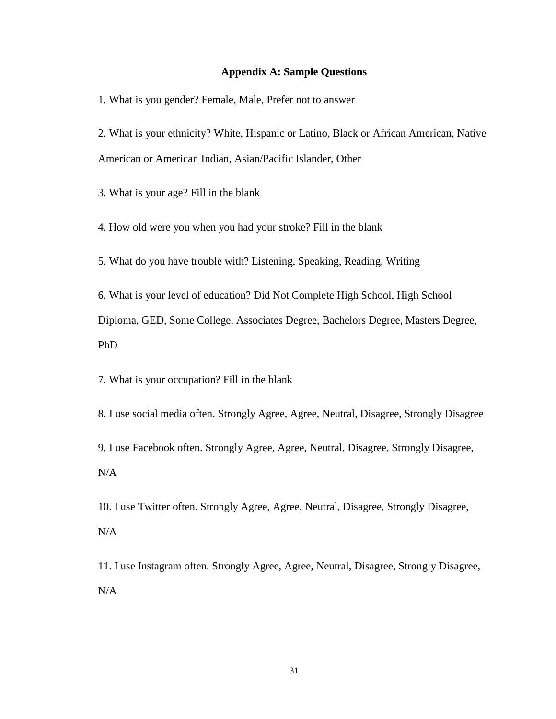# **Appendix A: Sample Questions**

<span id="page-35-0"></span>1. What is you gender? Female, Male, Prefer not to answer

2. What is your ethnicity? White, Hispanic or Latino, Black or African American, Native American or American Indian, Asian/Pacific Islander, Other

3. What is your age? Fill in the blank

4. How old were you when you had your stroke? Fill in the blank

5. What do you have trouble with? Listening, Speaking, Reading, Writing

6. What is your level of education? Did Not Complete High School, High School Diploma, GED, Some College, Associates Degree, Bachelors Degree, Masters Degree, PhD

7. What is your occupation? Fill in the blank

8. I use social media often. Strongly Agree, Agree, Neutral, Disagree, Strongly Disagree

9. I use Facebook often. Strongly Agree, Agree, Neutral, Disagree, Strongly Disagree, N/A

10. I use Twitter often. Strongly Agree, Agree, Neutral, Disagree, Strongly Disagree, N/A

11. I use Instagram often. Strongly Agree, Agree, Neutral, Disagree, Strongly Disagree, N/A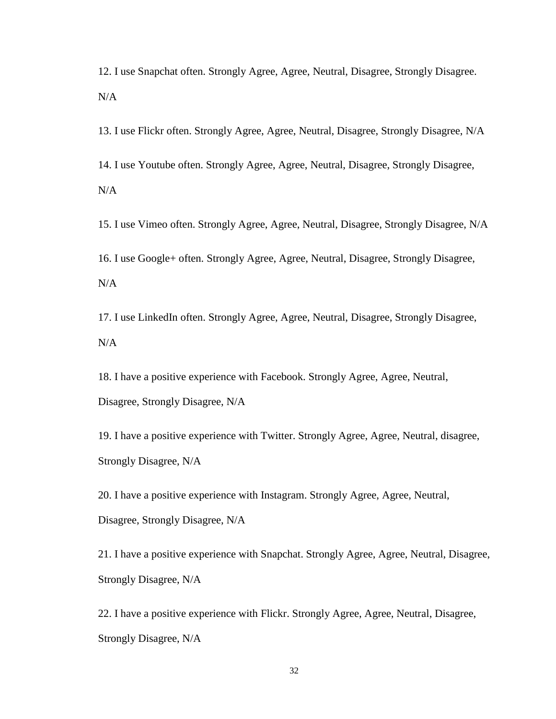12. I use Snapchat often. Strongly Agree, Agree, Neutral, Disagree, Strongly Disagree. N/A

13. I use Flickr often. Strongly Agree, Agree, Neutral, Disagree, Strongly Disagree, N/A

14. I use Youtube often. Strongly Agree, Agree, Neutral, Disagree, Strongly Disagree, N/A

15. I use Vimeo often. Strongly Agree, Agree, Neutral, Disagree, Strongly Disagree, N/A 16. I use Google+ often. Strongly Agree, Agree, Neutral, Disagree, Strongly Disagree,

N/A

17. I use LinkedIn often. Strongly Agree, Agree, Neutral, Disagree, Strongly Disagree, N/A

18. I have a positive experience with Facebook. Strongly Agree, Agree, Neutral, Disagree, Strongly Disagree, N/A

19. I have a positive experience with Twitter. Strongly Agree, Agree, Neutral, disagree, Strongly Disagree, N/A

20. I have a positive experience with Instagram. Strongly Agree, Agree, Neutral, Disagree, Strongly Disagree, N/A

21. I have a positive experience with Snapchat. Strongly Agree, Agree, Neutral, Disagree, Strongly Disagree, N/A

22. I have a positive experience with Flickr. Strongly Agree, Agree, Neutral, Disagree, Strongly Disagree, N/A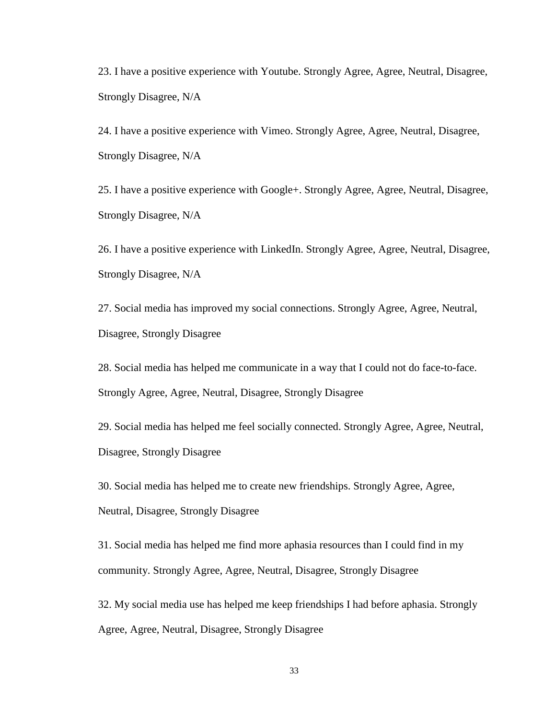23. I have a positive experience with Youtube. Strongly Agree, Agree, Neutral, Disagree, Strongly Disagree, N/A

24. I have a positive experience with Vimeo. Strongly Agree, Agree, Neutral, Disagree, Strongly Disagree, N/A

25. I have a positive experience with Google+. Strongly Agree, Agree, Neutral, Disagree, Strongly Disagree, N/A

26. I have a positive experience with LinkedIn. Strongly Agree, Agree, Neutral, Disagree, Strongly Disagree, N/A

27. Social media has improved my social connections. Strongly Agree, Agree, Neutral, Disagree, Strongly Disagree

28. Social media has helped me communicate in a way that I could not do face-to-face. Strongly Agree, Agree, Neutral, Disagree, Strongly Disagree

29. Social media has helped me feel socially connected. Strongly Agree, Agree, Neutral, Disagree, Strongly Disagree

30. Social media has helped me to create new friendships. Strongly Agree, Agree, Neutral, Disagree, Strongly Disagree

31. Social media has helped me find more aphasia resources than I could find in my community. Strongly Agree, Agree, Neutral, Disagree, Strongly Disagree

32. My social media use has helped me keep friendships I had before aphasia. Strongly Agree, Agree, Neutral, Disagree, Strongly Disagree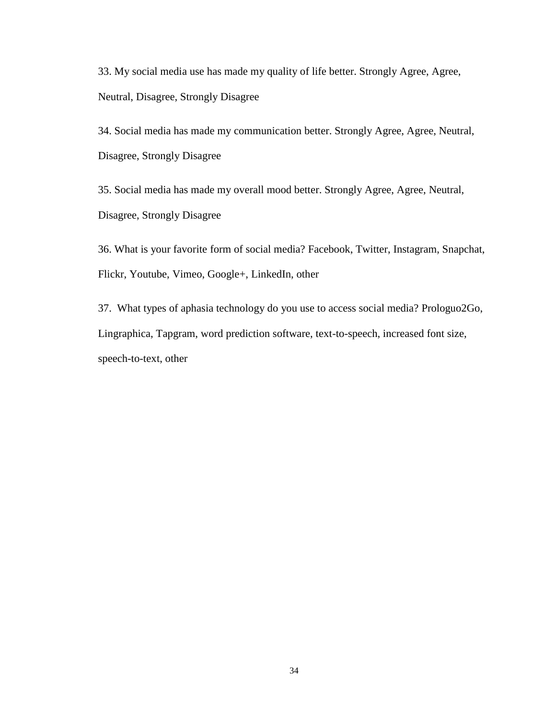33. My social media use has made my quality of life better. Strongly Agree, Agree, Neutral, Disagree, Strongly Disagree

34. Social media has made my communication better. Strongly Agree, Agree, Neutral, Disagree, Strongly Disagree

35. Social media has made my overall mood better. Strongly Agree, Agree, Neutral, Disagree, Strongly Disagree

36. What is your favorite form of social media? Facebook, Twitter, Instagram, Snapchat, Flickr, Youtube, Vimeo, Google+, LinkedIn, other

37. What types of aphasia technology do you use to access social media? Prologuo2Go, Lingraphica, Tapgram, word prediction software, text-to-speech, increased font size, speech-to-text, other